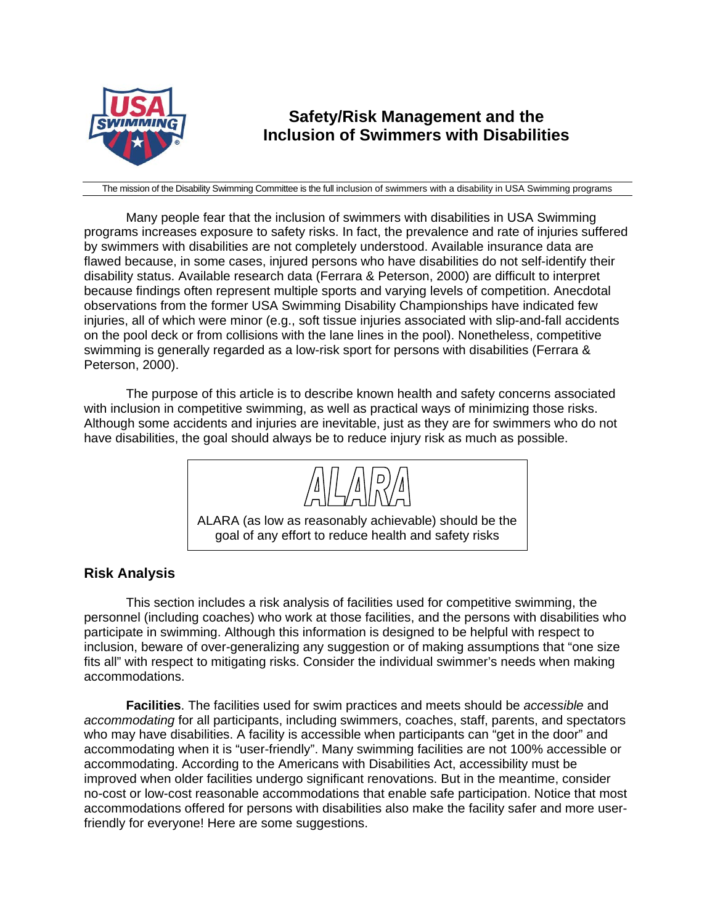

# **Safety/Risk Management and the Inclusion of Swimmers with Disabilities**

The mission of the Disability Swimming Committee is the full inclusion of swimmers with a disability in USA Swimming programs

Many people fear that the inclusion of swimmers with disabilities in USA Swimming programs increases exposure to safety risks. In fact, the prevalence and rate of injuries suffered by swimmers with disabilities are not completely understood. Available insurance data are flawed because, in some cases, injured persons who have disabilities do not self-identify their disability status. Available research data (Ferrara & Peterson, 2000) are difficult to interpret because findings often represent multiple sports and varying levels of competition. Anecdotal observations from the former USA Swimming Disability Championships have indicated few injuries, all of which were minor (e.g., soft tissue injuries associated with slip-and-fall accidents on the pool deck or from collisions with the lane lines in the pool). Nonetheless, competitive swimming is generally regarded as a low-risk sport for persons with disabilities (Ferrara & Peterson, 2000).

The purpose of this article is to describe known health and safety concerns associated with inclusion in competitive swimming, as well as practical ways of minimizing those risks. Although some accidents and injuries are inevitable, just as they are for swimmers who do not have disabilities, the goal should always be to reduce injury risk as much as possible.



## **Risk Analysis**

This section includes a risk analysis of facilities used for competitive swimming, the personnel (including coaches) who work at those facilities, and the persons with disabilities who participate in swimming. Although this information is designed to be helpful with respect to inclusion, beware of over-generalizing any suggestion or of making assumptions that "one size fits all" with respect to mitigating risks. Consider the individual swimmer's needs when making accommodations.

**Facilities**. The facilities used for swim practices and meets should be *accessible* and *accommodating* for all participants, including swimmers, coaches, staff, parents, and spectators who may have disabilities. A facility is accessible when participants can "get in the door" and accommodating when it is "user-friendly". Many swimming facilities are not 100% accessible or accommodating. According to the Americans with Disabilities Act, accessibility must be improved when older facilities undergo significant renovations. But in the meantime, consider no-cost or low-cost reasonable accommodations that enable safe participation. Notice that most accommodations offered for persons with disabilities also make the facility safer and more userfriendly for everyone! Here are some suggestions.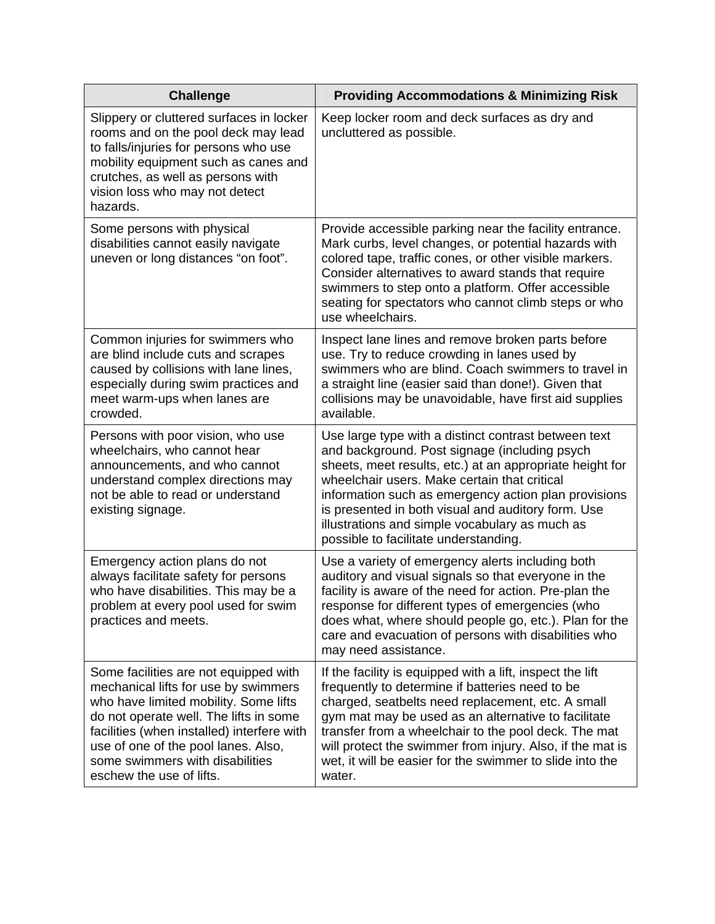| <b>Challenge</b>                                                                                                                                                                                                                                                                                                     | <b>Providing Accommodations &amp; Minimizing Risk</b>                                                                                                                                                                                                                                                                                                                                                                      |
|----------------------------------------------------------------------------------------------------------------------------------------------------------------------------------------------------------------------------------------------------------------------------------------------------------------------|----------------------------------------------------------------------------------------------------------------------------------------------------------------------------------------------------------------------------------------------------------------------------------------------------------------------------------------------------------------------------------------------------------------------------|
| Slippery or cluttered surfaces in locker<br>rooms and on the pool deck may lead<br>to falls/injuries for persons who use<br>mobility equipment such as canes and<br>crutches, as well as persons with<br>vision loss who may not detect<br>hazards.                                                                  | Keep locker room and deck surfaces as dry and<br>uncluttered as possible.                                                                                                                                                                                                                                                                                                                                                  |
| Some persons with physical<br>disabilities cannot easily navigate<br>uneven or long distances "on foot".                                                                                                                                                                                                             | Provide accessible parking near the facility entrance.<br>Mark curbs, level changes, or potential hazards with<br>colored tape, traffic cones, or other visible markers.<br>Consider alternatives to award stands that require<br>swimmers to step onto a platform. Offer accessible<br>seating for spectators who cannot climb steps or who<br>use wheelchairs.                                                           |
| Common injuries for swimmers who<br>are blind include cuts and scrapes<br>caused by collisions with lane lines,<br>especially during swim practices and<br>meet warm-ups when lanes are<br>crowded.                                                                                                                  | Inspect lane lines and remove broken parts before<br>use. Try to reduce crowding in lanes used by<br>swimmers who are blind. Coach swimmers to travel in<br>a straight line (easier said than done!). Given that<br>collisions may be unavoidable, have first aid supplies<br>available.                                                                                                                                   |
| Persons with poor vision, who use<br>wheelchairs, who cannot hear<br>announcements, and who cannot<br>understand complex directions may<br>not be able to read or understand<br>existing signage.                                                                                                                    | Use large type with a distinct contrast between text<br>and background. Post signage (including psych<br>sheets, meet results, etc.) at an appropriate height for<br>wheelchair users. Make certain that critical<br>information such as emergency action plan provisions<br>is presented in both visual and auditory form. Use<br>illustrations and simple vocabulary as much as<br>possible to facilitate understanding. |
| Emergency action plans do not<br>always facilitate safety for persons<br>who have disabilities. This may be a<br>problem at every pool used for swim<br>practices and meets.                                                                                                                                         | Use a variety of emergency alerts including both<br>auditory and visual signals so that everyone in the<br>facility is aware of the need for action. Pre-plan the<br>response for different types of emergencies (who<br>does what, where should people go, etc.). Plan for the<br>care and evacuation of persons with disabilities who<br>may need assistance.                                                            |
| Some facilities are not equipped with<br>mechanical lifts for use by swimmers<br>who have limited mobility. Some lifts<br>do not operate well. The lifts in some<br>facilities (when installed) interfere with<br>use of one of the pool lanes. Also,<br>some swimmers with disabilities<br>eschew the use of lifts. | If the facility is equipped with a lift, inspect the lift<br>frequently to determine if batteries need to be<br>charged, seatbelts need replacement, etc. A small<br>gym mat may be used as an alternative to facilitate<br>transfer from a wheelchair to the pool deck. The mat<br>will protect the swimmer from injury. Also, if the mat is<br>wet, it will be easier for the swimmer to slide into the<br>water.        |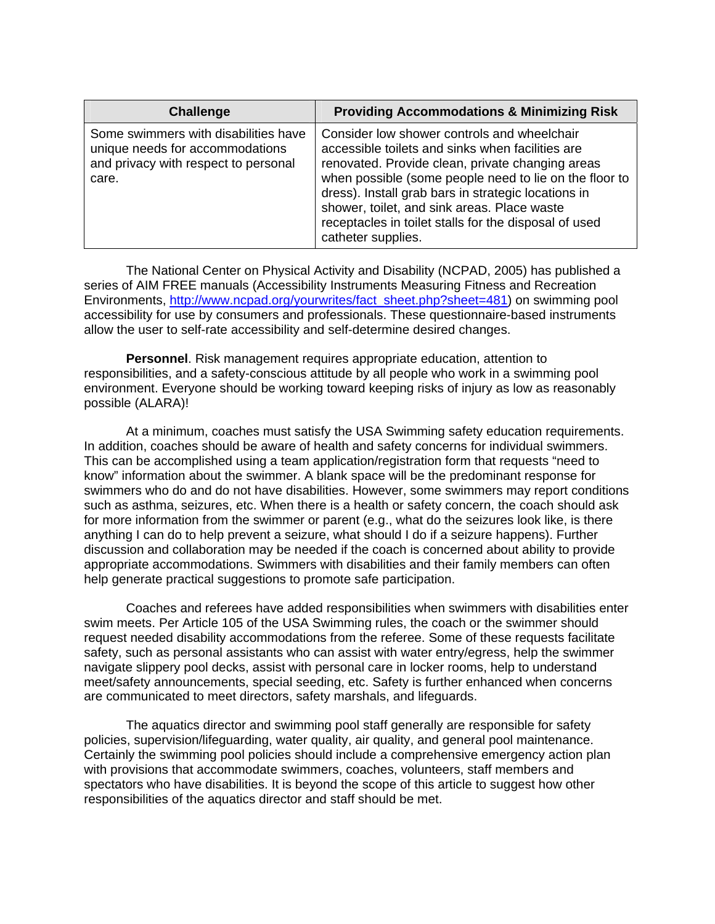| <b>Challenge</b>                                                                                                         | <b>Providing Accommodations &amp; Minimizing Risk</b>                                                                                                                                                                                                                                                                                                                                              |
|--------------------------------------------------------------------------------------------------------------------------|----------------------------------------------------------------------------------------------------------------------------------------------------------------------------------------------------------------------------------------------------------------------------------------------------------------------------------------------------------------------------------------------------|
| Some swimmers with disabilities have<br>unique needs for accommodations<br>and privacy with respect to personal<br>care. | Consider low shower controls and wheelchair<br>accessible toilets and sinks when facilities are<br>renovated. Provide clean, private changing areas<br>when possible (some people need to lie on the floor to<br>dress). Install grab bars in strategic locations in<br>shower, toilet, and sink areas. Place waste<br>receptacles in toilet stalls for the disposal of used<br>catheter supplies. |

The National Center on Physical Activity and Disability (NCPAD, 2005) has published a series of AIM FREE manuals (Accessibility Instruments Measuring Fitness and Recreation Environments, http://www.ncpad.org/yourwrites/fact\_sheet.php?sheet=481) on swimming pool accessibility for use by consumers and professionals. These questionnaire-based instruments allow the user to self-rate accessibility and self-determine desired changes.

**Personnel**. Risk management requires appropriate education, attention to responsibilities, and a safety-conscious attitude by all people who work in a swimming pool environment. Everyone should be working toward keeping risks of injury as low as reasonably possible (ALARA)!

At a minimum, coaches must satisfy the USA Swimming safety education requirements. In addition, coaches should be aware of health and safety concerns for individual swimmers. This can be accomplished using a team application/registration form that requests "need to know" information about the swimmer. A blank space will be the predominant response for swimmers who do and do not have disabilities. However, some swimmers may report conditions such as asthma, seizures, etc. When there is a health or safety concern, the coach should ask for more information from the swimmer or parent (e.g., what do the seizures look like, is there anything I can do to help prevent a seizure, what should I do if a seizure happens). Further discussion and collaboration may be needed if the coach is concerned about ability to provide appropriate accommodations. Swimmers with disabilities and their family members can often help generate practical suggestions to promote safe participation.

Coaches and referees have added responsibilities when swimmers with disabilities enter swim meets. Per Article 105 of the USA Swimming rules, the coach or the swimmer should request needed disability accommodations from the referee. Some of these requests facilitate safety, such as personal assistants who can assist with water entry/egress, help the swimmer navigate slippery pool decks, assist with personal care in locker rooms, help to understand meet/safety announcements, special seeding, etc. Safety is further enhanced when concerns are communicated to meet directors, safety marshals, and lifeguards.

The aquatics director and swimming pool staff generally are responsible for safety policies, supervision/lifeguarding, water quality, air quality, and general pool maintenance. Certainly the swimming pool policies should include a comprehensive emergency action plan with provisions that accommodate swimmers, coaches, volunteers, staff members and spectators who have disabilities. It is beyond the scope of this article to suggest how other responsibilities of the aquatics director and staff should be met.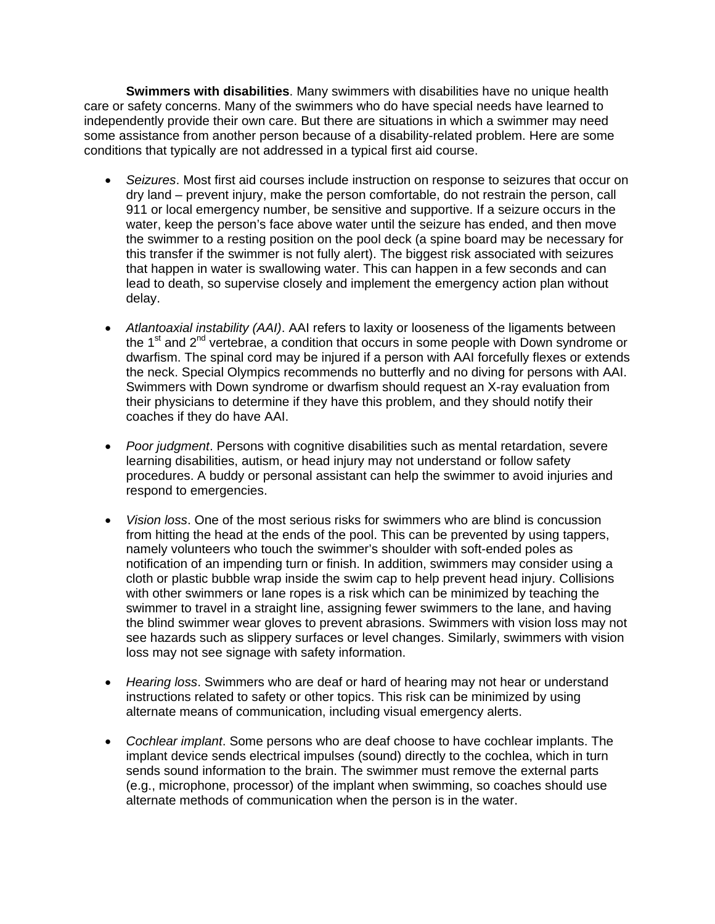**Swimmers with disabilities**. Many swimmers with disabilities have no unique health care or safety concerns. Many of the swimmers who do have special needs have learned to independently provide their own care. But there are situations in which a swimmer may need some assistance from another person because of a disability-related problem. Here are some conditions that typically are not addressed in a typical first aid course.

- *Seizures*. Most first aid courses include instruction on response to seizures that occur on dry land – prevent injury, make the person comfortable, do not restrain the person, call 911 or local emergency number, be sensitive and supportive. If a seizure occurs in the water, keep the person's face above water until the seizure has ended, and then move the swimmer to a resting position on the pool deck (a spine board may be necessary for this transfer if the swimmer is not fully alert). The biggest risk associated with seizures that happen in water is swallowing water. This can happen in a few seconds and can lead to death, so supervise closely and implement the emergency action plan without delay.
- *Atlantoaxial instability (AAI)*. AAI refers to laxity or looseness of the ligaments between the  $1<sup>st</sup>$  and  $2<sup>nd</sup>$  vertebrae, a condition that occurs in some people with Down syndrome or dwarfism. The spinal cord may be injured if a person with AAI forcefully flexes or extends the neck. Special Olympics recommends no butterfly and no diving for persons with AAI. Swimmers with Down syndrome or dwarfism should request an X-ray evaluation from their physicians to determine if they have this problem, and they should notify their coaches if they do have AAI.
- *Poor judgment*. Persons with cognitive disabilities such as mental retardation, severe learning disabilities, autism, or head injury may not understand or follow safety procedures. A buddy or personal assistant can help the swimmer to avoid injuries and respond to emergencies.
- *Vision loss*. One of the most serious risks for swimmers who are blind is concussion from hitting the head at the ends of the pool. This can be prevented by using tappers, namely volunteers who touch the swimmer's shoulder with soft-ended poles as notification of an impending turn or finish. In addition, swimmers may consider using a cloth or plastic bubble wrap inside the swim cap to help prevent head injury. Collisions with other swimmers or lane ropes is a risk which can be minimized by teaching the swimmer to travel in a straight line, assigning fewer swimmers to the lane, and having the blind swimmer wear gloves to prevent abrasions. Swimmers with vision loss may not see hazards such as slippery surfaces or level changes. Similarly, swimmers with vision loss may not see signage with safety information.
- *Hearing loss*. Swimmers who are deaf or hard of hearing may not hear or understand instructions related to safety or other topics. This risk can be minimized by using alternate means of communication, including visual emergency alerts.
- *Cochlear implant*. Some persons who are deaf choose to have cochlear implants. The implant device sends electrical impulses (sound) directly to the cochlea, which in turn sends sound information to the brain. The swimmer must remove the external parts (e.g., microphone, processor) of the implant when swimming, so coaches should use alternate methods of communication when the person is in the water.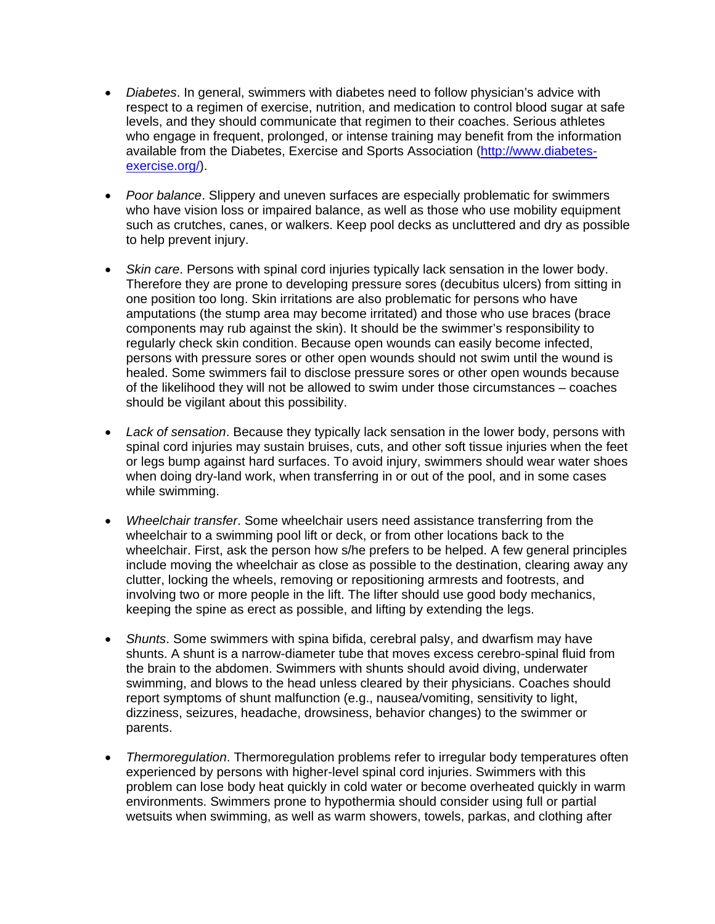- *Diabetes*. In general, swimmers with diabetes need to follow physician's advice with respect to a regimen of exercise, nutrition, and medication to control blood sugar at safe levels, and they should communicate that regimen to their coaches. Serious athletes who engage in frequent, prolonged, or intense training may benefit from the information available from the Diabetes, Exercise and Sports Association (http://www.diabetesexercise.org/).
- *Poor balance*. Slippery and uneven surfaces are especially problematic for swimmers who have vision loss or impaired balance, as well as those who use mobility equipment such as crutches, canes, or walkers. Keep pool decks as uncluttered and dry as possible to help prevent injury.
- *Skin care*. Persons with spinal cord injuries typically lack sensation in the lower body. Therefore they are prone to developing pressure sores (decubitus ulcers) from sitting in one position too long. Skin irritations are also problematic for persons who have amputations (the stump area may become irritated) and those who use braces (brace components may rub against the skin). It should be the swimmer's responsibility to regularly check skin condition. Because open wounds can easily become infected, persons with pressure sores or other open wounds should not swim until the wound is healed. Some swimmers fail to disclose pressure sores or other open wounds because of the likelihood they will not be allowed to swim under those circumstances – coaches should be vigilant about this possibility.
- *Lack of sensation*. Because they typically lack sensation in the lower body, persons with spinal cord injuries may sustain bruises, cuts, and other soft tissue injuries when the feet or legs bump against hard surfaces. To avoid injury, swimmers should wear water shoes when doing dry-land work, when transferring in or out of the pool, and in some cases while swimming.
- *Wheelchair transfer*. Some wheelchair users need assistance transferring from the wheelchair to a swimming pool lift or deck, or from other locations back to the wheelchair. First, ask the person how s/he prefers to be helped. A few general principles include moving the wheelchair as close as possible to the destination, clearing away any clutter, locking the wheels, removing or repositioning armrests and footrests, and involving two or more people in the lift. The lifter should use good body mechanics, keeping the spine as erect as possible, and lifting by extending the legs.
- *Shunts*. Some swimmers with spina bifida, cerebral palsy, and dwarfism may have shunts. A shunt is a narrow-diameter tube that moves excess cerebro-spinal fluid from the brain to the abdomen. Swimmers with shunts should avoid diving, underwater swimming, and blows to the head unless cleared by their physicians. Coaches should report symptoms of shunt malfunction (e.g., nausea/vomiting, sensitivity to light, dizziness, seizures, headache, drowsiness, behavior changes) to the swimmer or parents.
- *Thermoregulation*. Thermoregulation problems refer to irregular body temperatures often experienced by persons with higher-level spinal cord injuries. Swimmers with this problem can lose body heat quickly in cold water or become overheated quickly in warm environments. Swimmers prone to hypothermia should consider using full or partial wetsuits when swimming, as well as warm showers, towels, parkas, and clothing after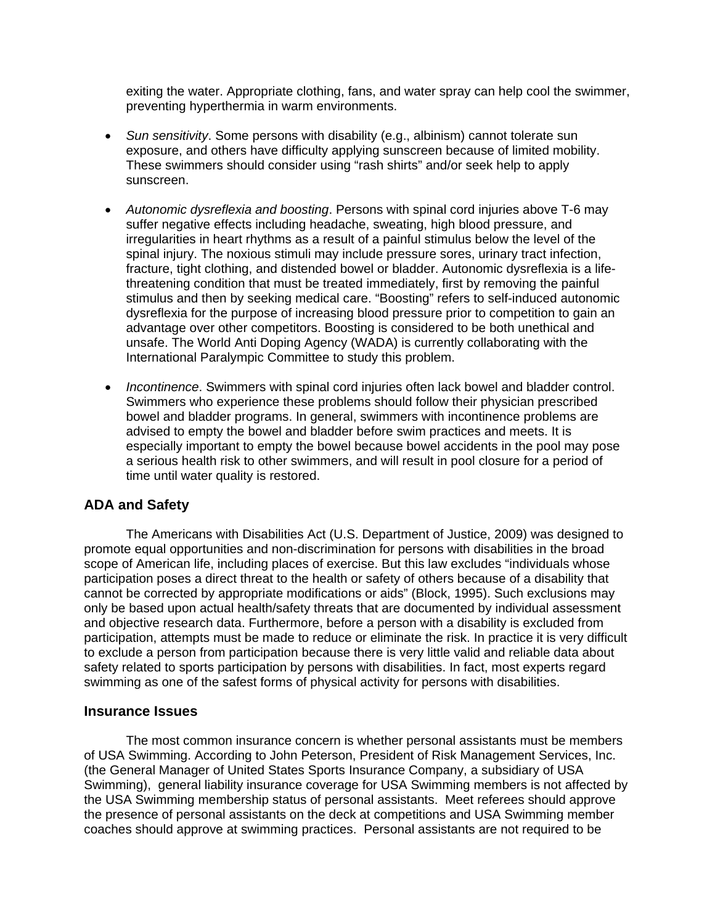exiting the water. Appropriate clothing, fans, and water spray can help cool the swimmer, preventing hyperthermia in warm environments.

- *Sun sensitivity*. Some persons with disability (e.g., albinism) cannot tolerate sun exposure, and others have difficulty applying sunscreen because of limited mobility. These swimmers should consider using "rash shirts" and/or seek help to apply sunscreen.
- *Autonomic dysreflexia and boosting*. Persons with spinal cord injuries above T-6 may suffer negative effects including headache, sweating, high blood pressure, and irregularities in heart rhythms as a result of a painful stimulus below the level of the spinal injury. The noxious stimuli may include pressure sores, urinary tract infection, fracture, tight clothing, and distended bowel or bladder. Autonomic dysreflexia is a lifethreatening condition that must be treated immediately, first by removing the painful stimulus and then by seeking medical care. "Boosting" refers to self-induced autonomic dysreflexia for the purpose of increasing blood pressure prior to competition to gain an advantage over other competitors. Boosting is considered to be both unethical and unsafe. The World Anti Doping Agency (WADA) is currently collaborating with the International Paralympic Committee to study this problem.
- *Incontinence*. Swimmers with spinal cord injuries often lack bowel and bladder control. Swimmers who experience these problems should follow their physician prescribed bowel and bladder programs. In general, swimmers with incontinence problems are advised to empty the bowel and bladder before swim practices and meets. It is especially important to empty the bowel because bowel accidents in the pool may pose a serious health risk to other swimmers, and will result in pool closure for a period of time until water quality is restored.

## **ADA and Safety**

The Americans with Disabilities Act (U.S. Department of Justice, 2009) was designed to promote equal opportunities and non-discrimination for persons with disabilities in the broad scope of American life, including places of exercise. But this law excludes "individuals whose participation poses a direct threat to the health or safety of others because of a disability that cannot be corrected by appropriate modifications or aids" (Block, 1995). Such exclusions may only be based upon actual health/safety threats that are documented by individual assessment and objective research data. Furthermore, before a person with a disability is excluded from participation, attempts must be made to reduce or eliminate the risk. In practice it is very difficult to exclude a person from participation because there is very little valid and reliable data about safety related to sports participation by persons with disabilities. In fact, most experts regard swimming as one of the safest forms of physical activity for persons with disabilities.

#### **Insurance Issues**

The most common insurance concern is whether personal assistants must be members of USA Swimming. According to John Peterson, President of Risk Management Services, Inc. (the General Manager of United States Sports Insurance Company, a subsidiary of USA Swimming), general liability insurance coverage for USA Swimming members is not affected by the USA Swimming membership status of personal assistants. Meet referees should approve the presence of personal assistants on the deck at competitions and USA Swimming member coaches should approve at swimming practices. Personal assistants are not required to be